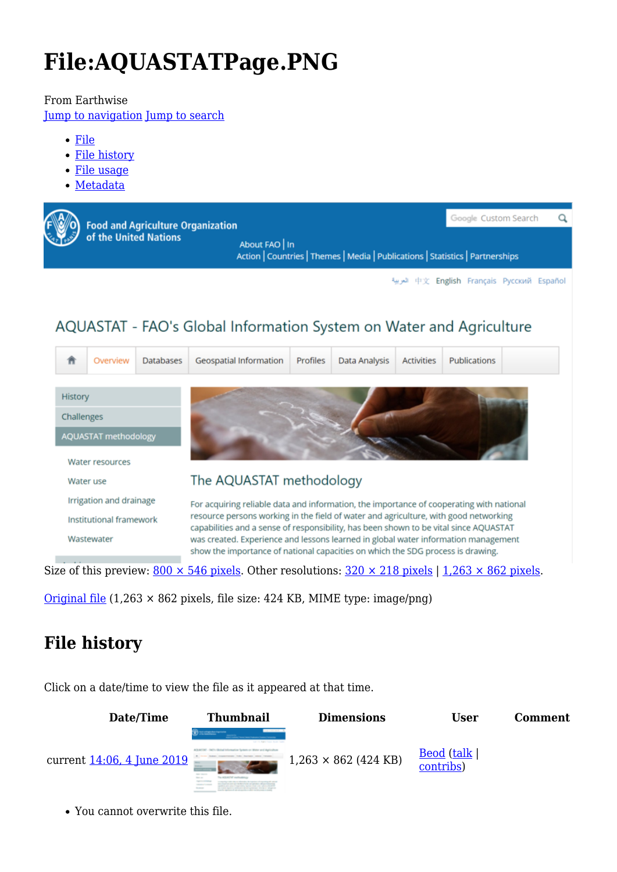# **File:AQUASTATPage.PNG**

#### From Earthwise

[Jump to navigation](#page--1-0) [Jump to search](#page--1-0)

- [File](#page--1-0)
- [File history](#page--1-0)
- [File usage](#page--1-0)
- [Metadata](#page--1-0)



### AQUASTAT - FAO's Global Information System on Water and Agriculture



Size of this preview:  $800 \times 546$  pixels. Other resolutions:  $320 \times 218$  pixels | 1,263  $\times 862$  pixels.

[Original file](http://earthwise.bgs.ac.uk/images/5/57/AQUASTATPage.PNG)  $(1,263 \times 862)$  pixels, file size: 424 KB, MIME type: image/png)

# **File history**

Click on a date/time to view the file as it appeared at that time.



You cannot overwrite this file.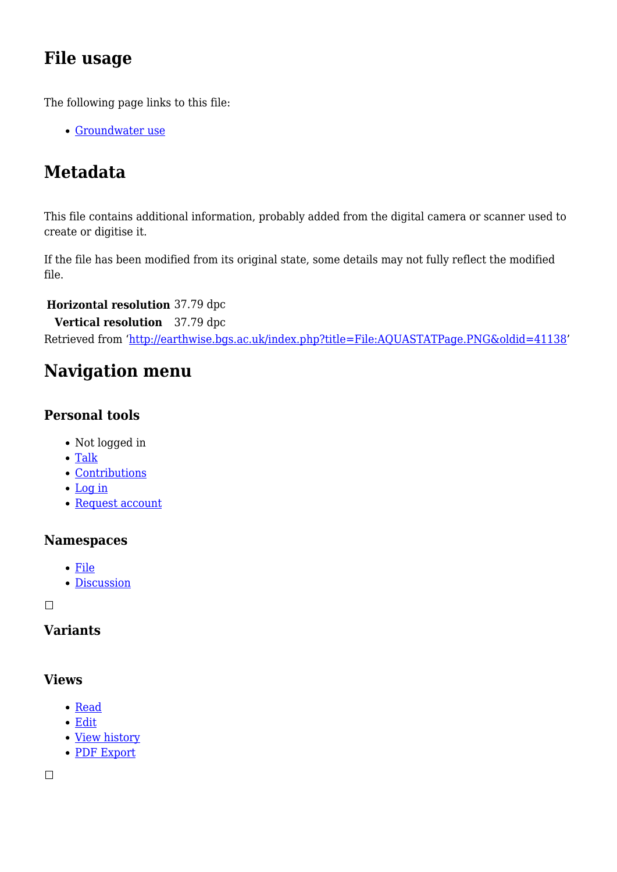## **File usage**

The following page links to this file:

[Groundwater use](http://earthwise.bgs.ac.uk/index.php/Groundwater_use)

# **Metadata**

This file contains additional information, probably added from the digital camera or scanner used to create or digitise it.

If the file has been modified from its original state, some details may not fully reflect the modified file.

#### **Horizontal resolution** 37.79 dpc

**Vertical resolution** 37.79 dpc Retrieved from ['http://earthwise.bgs.ac.uk/index.php?title=File:AQUASTATPage.PNG&oldid=41138](http://earthwise.bgs.ac.uk/index.php?title=File:AQUASTATPage.PNG&oldid=41138)'

# **Navigation menu**

### **Personal tools**

- Not logged in
- [Talk](http://earthwise.bgs.ac.uk/index.php/Special:MyTalk)
- [Contributions](http://earthwise.bgs.ac.uk/index.php/Special:MyContributions)
- [Log in](http://earthwise.bgs.ac.uk/index.php?title=Special:UserLogin&returnto=File%3AAQUASTATPage.PNG&returntoquery=action%3Dmpdf)
- [Request account](http://earthwise.bgs.ac.uk/index.php/Special:RequestAccount)

### **Namespaces**

- [File](http://earthwise.bgs.ac.uk/index.php/File:AQUASTATPage.PNG)
- [Discussion](http://earthwise.bgs.ac.uk/index.php?title=File_talk:AQUASTATPage.PNG&action=edit&redlink=1)

 $\Box$ 

### **Variants**

### **Views**

- [Read](http://earthwise.bgs.ac.uk/index.php/File:AQUASTATPage.PNG)
- [Edit](http://earthwise.bgs.ac.uk/index.php?title=File:AQUASTATPage.PNG&action=edit)
- [View history](http://earthwise.bgs.ac.uk/index.php?title=File:AQUASTATPage.PNG&action=history)
- [PDF Export](http://earthwise.bgs.ac.uk/index.php?title=File:AQUASTATPage.PNG&action=mpdf)

 $\overline{\phantom{a}}$